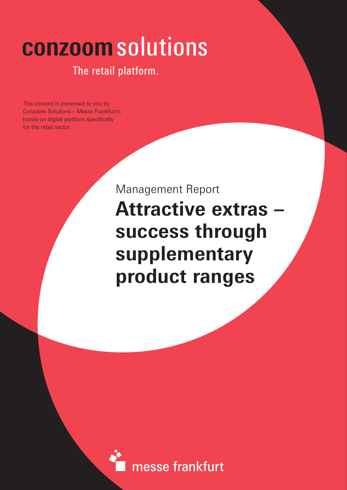# **conzoom**solutions

### The retail platform.

This content is presented to you by Conzoom Solutions – Messe Frankfurt's hands-on digital platform specifically for the retail sector.

> Management Report **Attractive extras – in Europa success through supplementary product ranges**

messe frankfurt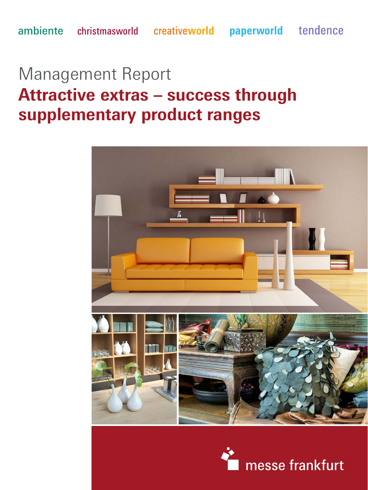# Management Report **Attractive extras – success through supplementary product ranges**



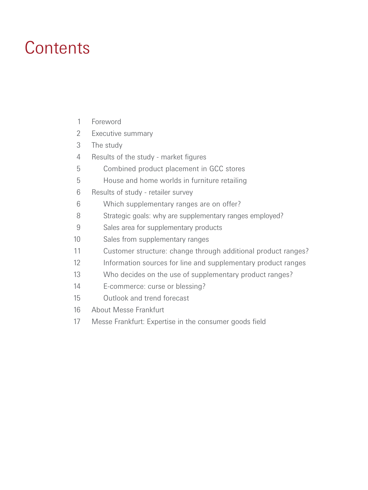### **Contents**

| Foreword |
|----------|
|          |

- Executive summary 2
- The study 3
- Results of the study market figures 4
- Combined product placement in GCC stores 5
- House and home worlds in furniture retailing 5
- Results of study retailer survey 6
- Which supplementary ranges are on offer? 6
- Strategic goals: why are supplementary ranges employed? 8
- Sales area for supplementary products 9
- Sales from supplementary ranges 10
- Customer structure: change through additional product ranges? 11
- Information sources for line and supplementary product ranges 12
- Who decides on the use of supplementary product ranges? 13
- E-commerce: curse or blessing? 14
- Outlook and trend forecast 15
- About Messe Frankfurt 16
- Messe Frankfurt: Expertise in the consumer goods field 17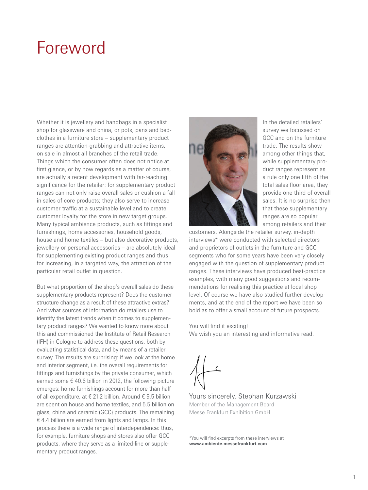### Foreword

Whether it is jewellery and handbags in a specialist shop for glassware and china, or pots, pans and bedclothes in a furniture store – supplementary product ranges are attention-grabbing and attractive items, on sale in almost all branches of the retail trade. Things which the consumer often does not notice at first glance, or by now regards as a matter of course, are actually a recent development with far-reaching significance for the retailer: for supplementary product ranges can not only raise overall sales or cushion a fall in sales of core products; they also serve to increase customer traffic at a sustainable level and to create customer loyalty for the store in new target groups. Many typical ambience products, such as fittings and furnishings, home accessories, household goods, house and home textiles – but also decorative products, jewellery or personal accessories – are absolutely ideal for supplementing existing product ranges and thus for increasing, in a targeted way, the attraction of the particular retail outlet in question.

But what proportion of the shop's overall sales do these supplementary products represent? Does the customer structure change as a result of these attractive extras? And what sources of information do retailers use to identify the latest trends when it comes to supplementary product ranges? We wanted to know more about this and commissioned the Institute of Retail Research (IFH) in Cologne to address these questions, both by evaluating statistical data, and by means of a retailer survey. The results are surprising: if we look at the home and interior segment, i.e. the overall requirements for fittings and furnishings by the private consumer, which earned some  $\epsilon$  40.6 billion in 2012, the following picture emerges: home furnishings account for more than half of all expenditure, at € 21.2 billion. Around € 9.5 billion are spent on house and home textiles, and 5.5 billion on glass, china and ceramic (GCC) products. The remaining  $\epsilon$  4.4 billion are earned from lights and lamps. In this process there is a wide range of interdependence: thus, for example, furniture shops and stores also offer GCC products, where they serve as a limited-line or supplementary product ranges.



In the detailed retailers' survey we focussed on GCC and on the furniture trade. The results show among other things that, while supplementary product ranges represent as a rule only one fifth of the total sales floor area, they provide one third of overall sales. It is no surprise then that these supplementary ranges are so popular among retailers and their

customers. Alongside the retailer survey, in-depth interviews\* were conducted with selected directors and proprietors of outlets in the furniture and GCC segments who for some years have been very closely engaged with the question of supplementary product ranges. These interviews have produced best-practice examples, with many good suggestions and recommendations for realising this practice at local shop level. Of course we have also studied further developments, and at the end of the report we have been so bold as to offer a small account of future prospects.

You will find it exciting! We wish you an interesting and informative read.

Yours sincerely, Stephan Kurzawski Member of the Management Board Messe Frankfurt Exhibition GmbH

\*You will find excerpts from these interviews at **www.ambiente.messefrankfurt.com**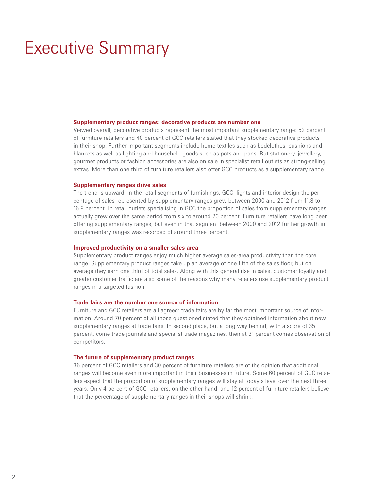### Executive Summary

#### **Supplementary product ranges: decorative products are number one**

Viewed overall, decorative products represent the most important supplementary range: 52 percent of furniture retailers and 40 percent of GCC retailers stated that they stocked decorative products in their shop. Further important segments include home textiles such as bedclothes, cushions and blankets as well as lighting and household goods such as pots and pans. But stationery, jewellery, gourmet products or fashion accessories are also on sale in specialist retail outlets as strong-selling extras. More than one third of furniture retailers also offer GCC products as a supplementary range.

#### **Supplementary ranges drive sales**

The trend is upward: in the retail segments of furnishings, GCC, lights and interior design the percentage of sales represented by supplementary ranges grew between 2000 and 2012 from 11.8 to 16.9 percent. In retail outlets specialising in GCC the proportion of sales from supplementary ranges actually grew over the same period from six to around 20 percent. Furniture retailers have long been offering supplementary ranges, but even in that segment between 2000 and 2012 further growth in supplementary ranges was recorded of around three percent.

#### **Improved productivity on a smaller sales area**

Supplementary product ranges enjoy much higher average sales-area productivity than the core range. Supplementary product ranges take up an average of one fifth of the sales floor, but on average they earn one third of total sales. Along with this general rise in sales, customer loyalty and greater customer traffic are also some of the reasons why many retailers use supplementary product ranges in a targeted fashion.

#### **Trade fairs are the number one source of information**

Furniture and GCC retailers are all agreed: trade fairs are by far the most important source of information. Around 70 percent of all those questioned stated that they obtained information about new supplementary ranges at trade fairs. In second place, but a long way behind, with a score of 35 percent, come trade journals and specialist trade magazines, then at 31 percent comes observation of competitors.

#### **The future of supplementary product ranges**

36 percent of GCC retailers and 30 percent of furniture retailers are of the opinion that additional ranges will become even more important in their businesses in future. Some 60 percent of GCC retailers expect that the proportion of supplementary ranges will stay at today's level over the next three years. Only 4 percent of GCC retailers, on the other hand, and 12 percent of furniture retailers believe that the percentage of supplementary ranges in their shops will shrink.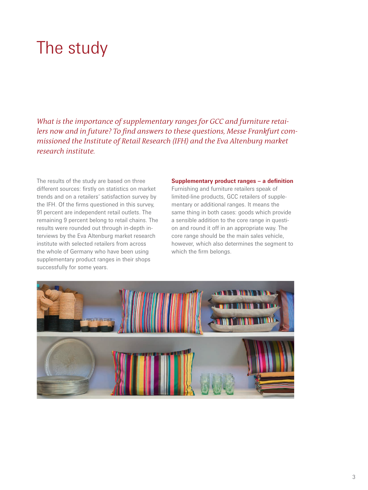## The study

*What is the importance of supplementary ranges for GCC and furniture retailers now and in future? To find answers to these questions, Messe Frankfurt commissioned the Institute of Retail Research (IFH) and the Eva Altenburg market research institute.* 

The results of the study are based on three different sources: firstly on statistics on market trends and on a retailers' satisfaction survey by the IFH. Of the firms questioned in this survey, 91 percent are independent retail outlets. The remaining 9 percent belong to retail chains. The results were rounded out through in-depth interviews by the Eva Altenburg market research institute with selected retailers from across the whole of Germany who have been using supplementary product ranges in their shops successfully for some years.

#### **Supplementary product ranges – a definition**

Furnishing and furniture retailers speak of limited-line products, GCC retailers of supplementary or additional ranges. It means the same thing in both cases: goods which provide a sensible addition to the core range in question and round it off in an appropriate way. The core range should be the main sales vehicle, however, which also determines the segment to which the firm belongs.

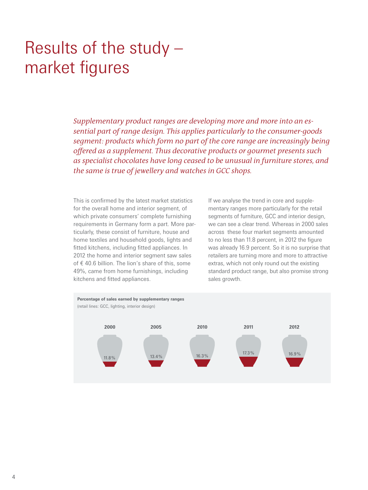## Results of the study – market figures

*Supplementary product ranges are developing more and more into an essential part of range design. This applies particularly to the consumer-goods segment: products which form no part of the core range are increasingly being offered as a supplement. Thus decorative products or gourmet presents such as specialist chocolates have long ceased to be unusual in furniture stores, and the same is true of jewellery and watches in GCC shops.* 

This is confirmed by the latest market statistics for the overall home and interior segment, of which private consumers' complete furnishing requirements in Germany form a part. More particularly, these consist of furniture, house and home textiles and household goods, lights and fitted kitchens, including fitted appliances. In 2012 the home and interior segment saw sales of € 40.6 billion. The lion's share of this, some 49%, came from home furnishings, including kitchens and fitted appliances.

If we analyse the trend in core and supplementary ranges more particularly for the retail segments of furniture, GCC and interior design, we can see a clear trend. Whereas in 2000 sales across these four market segments amounted to no less than 11.8 percent, in 2012 the figure was already 16.9 percent. So it is no surprise that retailers are turning more and more to attractive extras, which not only round out the existing standard product range, but also promise strong sales growth.

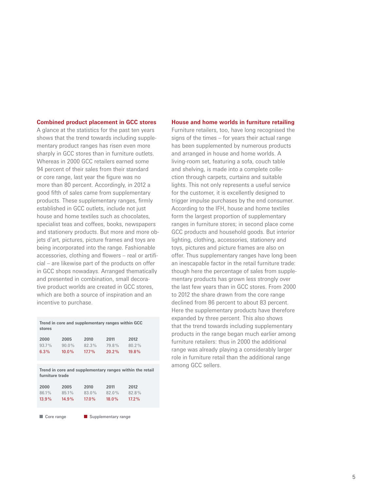#### **Combined product placement in GCC stores**

A glance at the statistics for the past ten years shows that the trend towards including supplementary product ranges has risen even more sharply in GCC stores than in furniture outlets. Whereas in 2000 GCC retailers earned some 94 percent of their sales from their standard or core range, last year the figure was no more than 80 percent. Accordingly, in 2012 a good fifth of sales came from supplementary products. These supplementary ranges, firmly established in GCC outlets, include not just house and home textiles such as chocolates, specialist teas and coffees, books, newspapers and stationery products. But more and more objets d'art, pictures, picture frames and toys are being incorporated into the range. Fashionable accessories, clothing and flowers – real or artificial – are likewise part of the products on offer in GCC shops nowadays. Arranged thematically and presented in combination, small decorative product worlds are created in GCC stores, which are both a source of inspiration and an incentive to purchase.

| Trend in core and supplementary ranges within GCC<br>stores |          |          |          |          |  |  |  |
|-------------------------------------------------------------|----------|----------|----------|----------|--|--|--|
| 2000                                                        | 2005     | 2010     | 2011     | 2012     |  |  |  |
| $93.7\%$                                                    | $90.0\%$ | 82.3%    | 79.8%    | $80.2\%$ |  |  |  |
| 6.3%                                                        | $10.0\%$ | $17.7\%$ | $20.2\%$ | 19.8%    |  |  |  |

**Trend in core and supplementary ranges within the retail furniture trade**

| 2000  | 2005     | 2010     | 2011     | 2012     |
|-------|----------|----------|----------|----------|
| 86.1% | 85.1%    | $83.0\%$ | $82.0\%$ | 82.8%    |
| 13.9% | $14.9\%$ | $17.0\%$ | $18.0\%$ | $17.2\%$ |

Core range **Supplementary range** 

#### **House and home worlds in furniture retailing**

Furniture retailers, too, have long recognised the signs of the times – for years their actual range has been supplemented by numerous products and arranged in house and home worlds. A living-room set, featuring a sofa, couch table and shelving, is made into a complete collection through carpets, curtains and suitable lights. This not only represents a useful service for the customer, it is excellently designed to trigger impulse purchases by the end consumer. According to the IFH, house and home textiles form the largest proportion of supplementary ranges in furniture stores; in second place come GCC products and household goods. But interior lighting, clothing, accessories, stationery and toys, pictures and picture frames are also on offer. Thus supplementary ranges have long been an inescapable factor in the retail furniture trade: though here the percentage of sales from supplementary products has grown less strongly over the last few years than in GCC stores. From 2000 to 2012 the share drawn from the core range declined from 86 percent to about 83 percent. Here the supplementary products have therefore expanded by three percent. This also shows that the trend towards including supplementary products in the range began much earlier among furniture retailers: thus in 2000 the additional range was already playing a considerably larger role in furniture retail than the additional range among GCC sellers.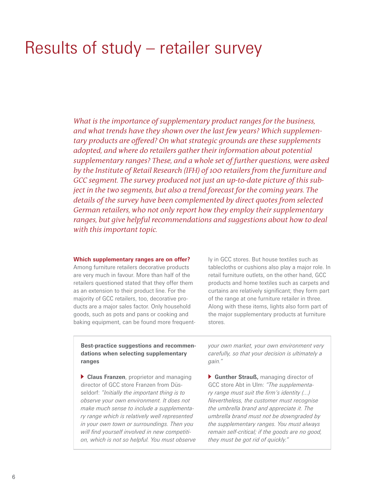### Results of study – retailer survey

*What is the importance of supplementary product ranges for the business, and what trends have they shown over the last few years? Which supplementary products are offered? On what strategic grounds are these supplements adopted, and where do retailers gather their information about potential supplementary ranges? These, and a whole set of further questions, were asked by the Institute of Retail Research (IFH) of 100 retailers from the furniture and GCC segment. The survey produced not just an up-to-date picture of this subject in the two segments, but also a trend forecast for the coming years. The details of the survey have been complemented by direct quotes from selected German retailers, who not only report how they employ their supplementary ranges, but give helpful recommendations and suggestions about how to deal with this important topic.* 

#### **Which supplementary ranges are on offer?**

Among furniture retailers decorative products are very much in favour. More than half of the retailers questioned stated that they offer them as an extension to their product line. For the majority of GCC retailers, too, decorative products are a major sales factor. Only household goods, such as pots and pans or cooking and baking equipment, can be found more frequent-

ly in GCC stores. But house textiles such as tablecloths or cushions also play a major role. In retail furniture outlets, on the other hand, GCC products and home textiles such as carpets and curtains are relatively significant; they form part of the range at one furniture retailer in three. Along with these items, lights also form part of the major supplementary products at furniture stores.

**Best-practice suggestions and recommendations when selecting supplementary ranges** 

 **Claus Franzen**, proprietor and managing director of GCC store Franzen from Düsseldorf: *"Initially the important thing is to observe your own environment. It does not make much sense to include a supplementary range which is relatively well represented in your own town or surroundings. Then you will find yourself involved in new competition, which is not so helpful. You must observe* 

*your own market, your own environment very carefully, so that your decision is ultimately a gain."*

 **Gunther Strauß,** managing director of GCC store Abt in Ulm: *"The supplementary range must suit the firm's identity (...) Nevertheless, the customer must recognise the umbrella brand and appreciate it. The umbrella brand must not be downgraded by the supplementary ranges. You must always remain self-critical; if the goods are no good, they must be got rid of quickly."*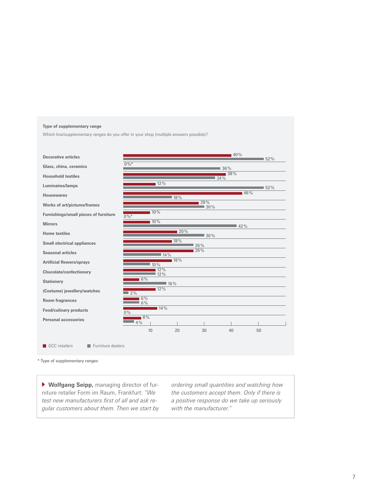#### **Type of supplementary range**

Which line/supplementary ranges do you offer in your shop (multiple answers possible)?



\* Type of supplementary ranges

 **Wolfgang Seipp,** managing director of furniture retailer Form im Raum, Frankfurt: *"We test new manufacturers first of all and ask regular customers about them. Then we start by* 

*ordering small quantities and watching how the customers accept them. Only if there is a positive response do we take up seriously with the manufacturer."*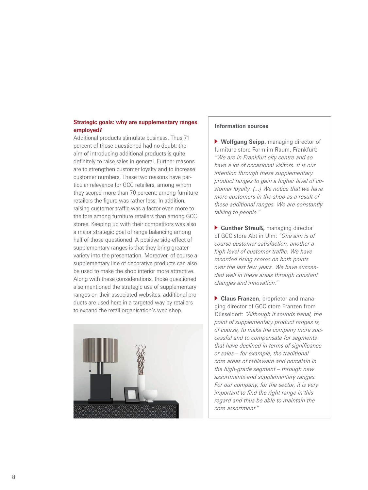#### **Strategic goals: why are supplementary ranges employed?**

Additional products stimulate business. Thus 71 percent of those questioned had no doubt: the aim of introducing additional products is quite definitely to raise sales in general. Further reasons are to strengthen customer loyalty and to increase customer numbers. These two reasons have particular relevance for GCC retailers, among whom they scored more than 70 percent; among furniture retailers the figure was rather less. In addition, raising customer traffic was a factor even more to the fore among furniture retailers than among GCC stores. Keeping up with their competitors was also a major strategic goal of range balancing among half of those questioned. A positive side-effect of supplementary ranges is that they bring greater variety into the presentation. Moreover, of course a supplementary line of decorative products can also be used to make the shop interior more attractive. Along with these considerations, those questioned also mentioned the strategic use of supplementary ranges on their associated websites: additional products are used here in a targeted way by retailers to expand the retail organisation's web shop.



#### **Information sources**

 **Wolfgang Seipp,** managing director of furniture store Form im Raum, Frankfurt: *"We are in Frankfurt city centre and so have a lot of occasional visitors. It is our intention through these supplementary product ranges to gain a higher level of customer loyalty. (...) We notice that we have more customers in the shop as a result of these additional ranges. We are constantly talking to people."*

 **Gunther Strauß,** managing director of GCC store Abt in Ulm: *"One aim is of course customer satisfaction, another a high level of customer traffic. We have recorded rising scores on both points over the last few years. We have succeeded well in these areas through constant changes and innovation."*

 **Claus Franzen**, proprietor and managing director of GCC store Franzen from Düsseldorf: *"Although it sounds banal, the point of supplementary product ranges is, of course, to make the company more successful and to compensate for segments that have declined in terms of significance or sales – for example, the traditional core areas of tableware and porcelain in the high-grade segment – through new assortments and supplementary ranges. For our company, for the sector, it is very important to find the right range in this regard and thus be able to maintain the core assortment."*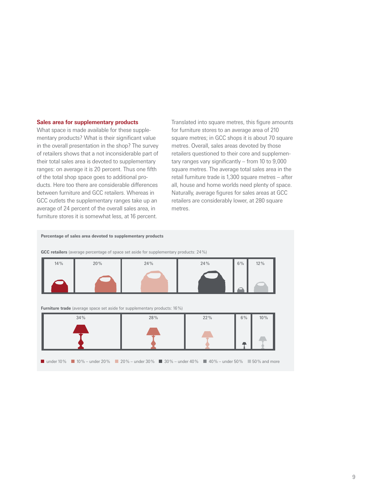#### **Sales area for supplementary products**

What space is made available for these supplementary products? What is their significant value in the overall presentation in the shop? The survey of retailers shows that a not inconsiderable part of their total sales area is devoted to supplementary ranges: on average it is 20 percent. Thus one fifth of the total shop space goes to additional products. Here too there are considerable differences between furniture and GCC retailers. Whereas in GCC outlets the supplementary ranges take up an average of 24 percent of the overall sales area, in furniture stores it is somewhat less, at 16 percent.

Translated into square metres, this figure amounts for furniture stores to an average area of 210 square metres; in GCC shops it is about 70 square metres. Overall, sales areas devoted by those retailers questioned to their core and supplementary ranges vary significantly – from 10 to 9,000 square metres. The average total sales area in the retail furniture trade is 1,300 square metres – after all, house and home worlds need plenty of space. Naturally, average figures for sales areas at GCC retailers are considerably lower, at 280 square metres.



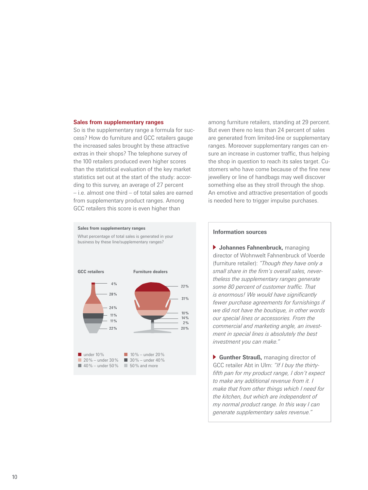#### **Sales from supplementary ranges**

So is the supplementary range a formula for success? How do furniture and GCC retailers gauge the increased sales brought by these attractive extras in their shops? The telephone survey of the 100 retailers produced even higher scores than the statistical evaluation of the key market statistics set out at the start of the study: according to this survey, an average of 27 percent – i.e. almost one third – of total sales are earned from supplementary product ranges. Among GCC retailers this score is even higher than



among furniture retailers, standing at 29 percent. But even there no less than 24 percent of sales are generated from limited-line or supplementary ranges. Moreover supplementary ranges can ensure an increase in customer traffic, thus helping the shop in question to reach its sales target. Customers who have come because of the fine new jewellery or line of handbags may well discover something else as they stroll through the shop. An emotive and attractive presentation of goods is needed here to trigger impulse purchases.

#### **Information sources**

 **Johannes Fahnenbruck,** managing director of Wohnwelt Fahnenbruck of Voerde (furniture retailer): *"Though they have only a small share in the firm's overall sales, nevertheless the supplementary ranges generate some 80 percent of customer traffic. That is enormous! We would have significantly fewer purchase agreements for furnishings if we did not have the boutique, in other words our special lines or accessories. From the commercial and marketing angle, an investment in special lines is absolutely the best investment you can make."* 

 **Gunther Strauß,** managing director of GCC retailer Abt in Ulm: *"If I buy the thirtyfifth pan for my product range, I don't expect to make any additional revenue from it. I make that from other things which I need for the kitchen, but which are independent of my normal product range. In this way I can generate supplementary sales revenue."*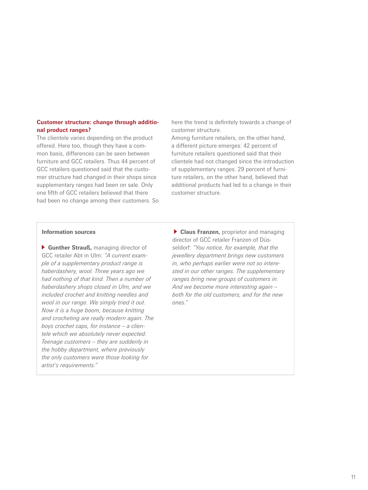#### **Customer structure: change through additional product ranges?**

The clientele varies depending on the product offered. Here too, though they have a common basis, differences can be seen between furniture and GCC retailers. Thus 44 percent of GCC retailers questioned said that the customer structure had changed in their shops since supplementary ranges had been on sale. Only one fifth of GCC retailers believed that there had been no change among their customers. So here the trend is definitely towards a change of customer structure.

Among furniture retailers, on the other hand, a different picture emerges: 42 percent of furniture retailers questioned said that their clientele had not changed since the introduction of supplementary ranges. 29 percent of furniture retailers, on the other hand, believed that additional products had led to a change in their customer structure.

#### **Information sources**

 **Gunther Strauß,** managing director of GCC retailer Abt in Ulm: *"A current example of a supplementary product range is haberdashery, wool. Three years ago we had nothing of that kind. Then a number of haberdashery shops closed in Ulm, and we included crochet and knitting needles and wool in our range. We simply tried it out. Now it is a huge boom, because knitting and crocheting are really modern again. The boys crochet caps, for instance – a clientele which we absolutely never expected. Teenage customers – they are suddenly in the hobby department, where previously the only customers were those looking for artist's requirements."*

 **Claus Franzen,** proprietor and managing director of GCC retailer Franzen of Düsseldorf: *"You notice, for example, that the jewellery department brings new customers in, who perhaps earlier were not so interested in our other ranges. The supplementary ranges bring new groups of customers in. And we become more interesting again – both for the old customers, and for the new ones."*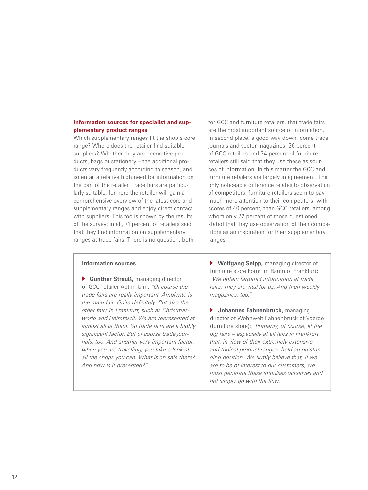#### **Information sources for specialist and supplementary product ranges**

Which supplementary ranges fit the shop's core range? Where does the retailer find suitable suppliers? Whether they are decorative products, bags or stationery – the additional products vary frequently according to season, and so entail a relative high need for information on the part of the retailer. Trade fairs are particularly suitable, for here the retailer will gain a comprehensive overview of the latest core and supplementary ranges and enjoy direct contact with suppliers. This too is shown by the results of the survey: in all, 71 percent of retailers said that they find information on supplementary ranges at trade fairs. There is no question, both

for GCC and furniture retailers, that trade fairs are the most important source of information. In second place, a good way down, come trade journals and sector magazines. 36 percent of GCC retailers and 34 percent of furniture retailers still said that they use these as sources of information. In this matter the GCC and furniture retailers are largely in agreement. The only noticeable difference relates to observation of competitors: furniture retailers seem to pay much more attention to their competitors, with scores of 40 percent, than GCC retailers, among whom only 22 percent of those questioned stated that they use observation of their competitors as an inspiration for their supplementary ranges.

#### **Information sources**

 **Gunther Strauß,** managing director of GCC retailer Abt in Ulm: *"Of course the trade fairs are really important. Ambiente is the main fair. Quite definitely. But also the other fairs in Frankfurt, such as Christmasworld and Heimtextil. We are represented at almost all of them. So trade fairs are a highly significant factor. But of course trade journals, too. And another very important factor: when you are travelling, you take a look at all the shops you can. What is on sale there? And how is it presented?"* 

 **Wolfgang Seipp,** managing director of furniture store Form im Raum of Frankfurt**:**  *"We obtain targeted information at trade fairs. They are vital for us. And then weekly magazines, too."*

 **Johannes Fahnenbruck,** managing director of Wohnwelt Fahnenbruck of Voerde (furniture store): *"Primarily, of course, at the big fairs – especially at all fairs in Frankfurt that, in view of their extremely extensive and topical product ranges, hold an outstanding position. We firmly believe that, if we are to be of interest to our customers, we must generate these impulses ourselves and not simply go with the flow."*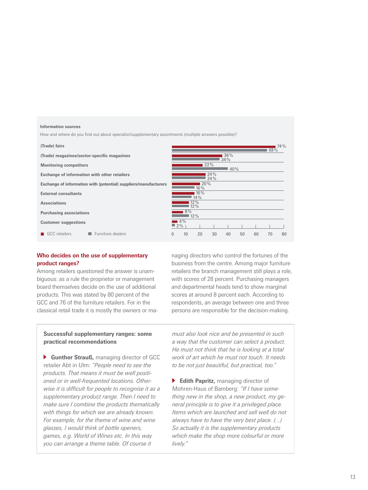#### **Information sources**

How and where do you find out about specialist/supplementary assortments (multiple answers possible)?

#### GCC retailers **Furniture dealers (Trade) fairs (Trade) magazines/sector-specific magazines Monitoring competitors Exchange of information with other retailers Exchange of information with (potential) suppliers/manufacturers External consultants Associations Purchasing associations Customer suggestions** 4 % 0 10 20 30 40 50 60 70 80  $12%$  $8<sup>0</sup>$ 12 % 12 %  $\frac{1}{14\%}$ **16**  $20%$ 24 % 24 %  $40%$ 22 %  $\frac{34}{9}$ 36 %

#### **Who decides on the use of supplementary product ranges?**

Among retailers questioned the answer is unambiguous: as a rule the proprietor or management board themselves decide on the use of additional products. This was stated by 80 percent of the GCC and 76 of the furniture retailers. For in the classical retail trade it is mostly the owners or managing directors who control the fortunes of the business from the centre. Among major furniture retailers the branch management still plays a role, with scores of 28 percent. Purchasing managers and departmental heads tend to show marginal scores at around 8 percent each. According to respondents, an average between one and three persons are responsible for the decision-making.

68 % 74 %

#### **Successful supplementary ranges: some practical recommendations**

 **Gunther Strauß,** managing director of GCC retailer Abt in Ulm: *"People need to see the products. That means it must be well positioned or in well-frequented locations. Otherwise it is difficult for people to recognise it as a supplementary product range. Then I need to make sure I combine the products thematically with things for which we are already known. For example, for the theme of wine and wine glasses, I would think of bottle openers, games, e.g. World of Wines etc. In this way you can arrange a theme table. Of course it* 

*must also look nice and be presented in such a way that the customer can select a product. He must not think that he is looking at a total work of art which he must not touch. It needs to be not just beautiful, but practical, too."* 

**Edith Papritz, managing director of** Mohren-Haus of Bamberg: *"If I have something new in the shop, a new product, my general principle is to give it a privileged place. Items which are launched and sell well do not always have to have the very best place. (...) So actually it is the supplementary products which make the shop more colourful or more lively."*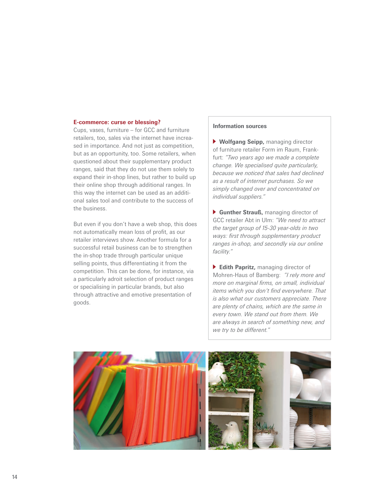#### **E-commerce: curse or blessing?**

Cups, vases, furniture – for GCC and furniture retailers, too, sales via the internet have increased in importance. And not just as competition, but as an opportunity, too. Some retailers, when questioned about their supplementary product ranges, said that they do not use them solely to expand their in-shop lines, but rather to build up their online shop through additional ranges. In this way the internet can be used as an additional sales tool and contribute to the success of the business.

But even if you don't have a web shop, this does not automatically mean loss of profit, as our retailer interviews show. Another formula for a successful retail business can be to strengthen the in-shop trade through particular unique selling points, thus differentiating it from the competition. This can be done, for instance, via a particularly adroit selection of product ranges or specialising in particular brands, but also through attractive and emotive presentation of goods.

#### **Information sources**

 **Wolfgang Seipp,** managing director of furniture retailer Form im Raum, Frankfurt: *"Two years ago we made a complete change. We specialised quite particularly, because we noticed that sales had declined as a result of internet purchases. So we simply changed over and concentrated on individual suppliers."* 

 **Gunther Strauß,** managing director of GCC retailer Abt in Ulm: *"We need to attract the target group of 15-30 year-olds in two ways: first through supplementary product ranges in-shop, and secondly via our online facility."* 

 **Edith Papritz,** managing director of Mohren-Haus of Bamberg: *"I rely more and more on marginal firms, on small, individual items which you don't find everywhere. That is also what our customers appreciate. There are plenty of chains, which are the same in every town. We stand out from them. We are always in search of something new, and we try to be different."*

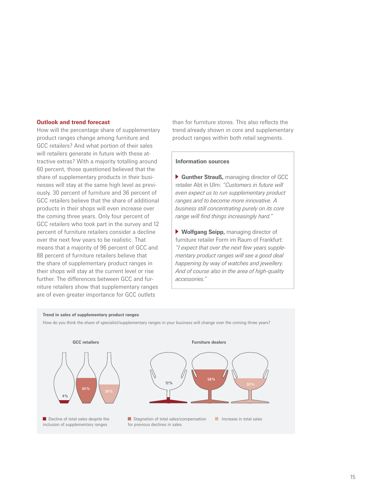#### **Outlook and trend forecast**

How will the percentage share of supplementary product ranges change among furniture and GCC retailers? And what portion of their sales will retailers generate in future with these attractive extras? With a majority totalling around 60 percent, those questioned believed that the share of supplementary products in their businesses will stay at the same high level as previously. 30 percent of furniture and 36 percent of GCC retailers believe that the share of additional products in their shops will even increase over the coming three years. Only four percent of GCC retailers who took part in the survey and 12 percent of furniture retailers consider a decline over the next few years to be realistic. That means that a majority of 96 percent of GCC and 88 percent of furniture retailers believe that the share of supplementary product ranges in their shops will stay at the current level or rise further. The differences between GCC and furniture retailers show that supplementary ranges are of even greater importance for GCC outlets

than for furniture stores. This also reflects the trend already shown in core and supplementary product ranges within both retail segments.

#### **Information sources**

 **Gunther Strauß,** managing director of GCC retailer Abt in Ulm: *"Customers in future will even expect us to run supplementary product ranges and to become more innovative. A business still concentrating purely on its core range will find things increasingly hard."* 

 **Wolfgang Seipp,** managing director of furniture retailer Form im Raum of Frankfurt: *"I expect that over the next few years supplementary product ranges will see a good deal happening by way of watches and jewellery. And of course also in the area of high-quality accessories."*

#### **Trend in sales of supplementary product ranges**

How do you think the share of specialist/supplementary ranges in your business will change over the coming three years?

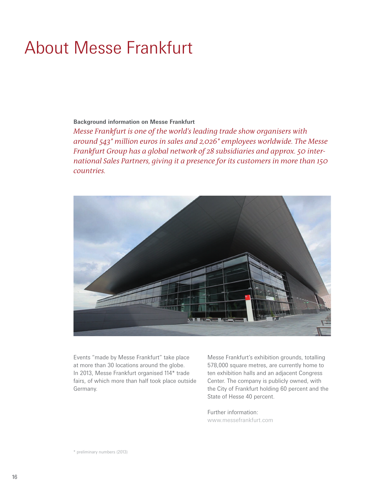### About Messe Frankfurt

#### **Background information on Messe Frankfurt**

*Messe Frankfurt is one of the world's leading trade show organisers with around 543\* million euros in sales and 2,026\* employees worldwide. The Messe Frankfurt Group has a global network of 28 subsidiaries and approx. 50 international Sales Partners, giving it a presence for its customers in more than 150 countries.*



Events "made by Messe Frankfurt" take place at more than 30 locations around the globe. In 2013, Messe Frankfurt organised 114\* trade fairs, of which more than half took place outside Germany.

Messe Frankfurt's exhibition grounds, totalling 578,000 square metres, are currently home to ten exhibition halls and an adjacent Congress Center. The company is publicly owned, with the City of Frankfurt holding 60 percent and the State of Hesse 40 percent.

Further information: www.messefrankfurt.com

\* preliminary numbers (2013)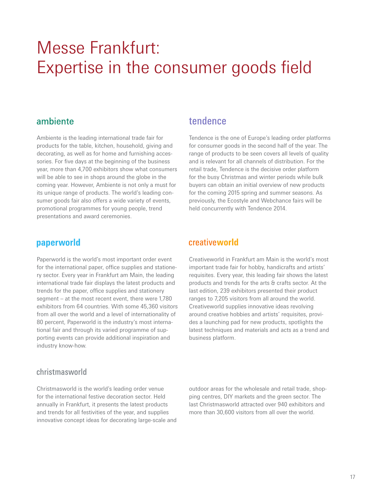### Messe Frankfurt: Expertise in the consumer goods field

#### ambiente

Ambiente is the leading international trade fair for products for the table, kitchen, household, giving and decorating, as well as for home and furnishing accessories. For five days at the beginning of the business year, more than 4,700 exhibitors show what consumers will be able to see in shops around the globe in the coming year. However, Ambiente is not only a must for its unique range of products. The world's leading consumer goods fair also offers a wide variety of events, promotional programmes for young people, trend presentations and award ceremonies.

#### paperworld

Paperworld is the world's most important order event for the international paper, office supplies and stationery sector. Every year in Frankfurt am Main, the leading international trade fair displays the latest products and trends for the paper, office supplies and stationery segment – at the most recent event, there were 1,780 exhibitors from 64 countries. With some 45,360 visitors from all over the world and a level of internationality of 80 percent, Paperworld is the industry's most international fair and through its varied programme of supporting events can provide additional inspiration and industry know-how.

### tendence

Tendence is the one of Europe's leading order platforms for consumer goods in the second half of the year. The range of products to be seen covers all levels of quality and is relevant for all channels of distribution. For the retail trade, Tendence is the decisive order platform for the busy Christmas and winter periods while bulk buyers can obtain an initial overview of new products for the coming 2015 spring and summer seasons. As previously, the Ecostyle and Webchance fairs will be held concurrently with Tendence 2014.

#### creativeworld

Creativeworld in Frankfurt am Main is the world's most important trade fair for hobby, handicrafts and artists' requisites. Every year, this leading fair shows the latest products and trends for the arts & crafts sector. At the last edition, 239 exhibitors presented their product ranges to 7,205 visitors from all around the world. Creativeworld supplies innovative ideas revolving around creative hobbies and artists' requisites, provides a launching pad for new products, spotlights the latest techniques and materials and acts as a trend and business platform.

#### christmasworld

Christmasworld is the world's leading order venue for the international festive decoration sector. Held annually in Frankfurt, it presents the latest products and trends for all festivities of the year, and supplies innovative concept ideas for decorating large-scale and outdoor areas for the wholesale and retail trade, shopping centres, DIY markets and the green sector. The last Christmasworld attracted over 940 exhibitors and more than 30,600 visitors from all over the world.